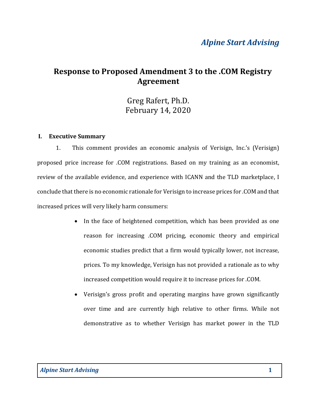# Alpine Start Advising

# Response to Proposed Amendment 3 to the .COM Registry Agreement

Greg Rafert, Ph.D. February 14, 2020

#### I. Executive Summary

1. This comment provides an economic analysis of Verisign, Inc.'s (Verisign) proposed price increase for .COM registrations. Based on my training as an economist, review of the available evidence, and experience with ICANN and the TLD marketplace, I conclude that there is no economic rationale for Verisign to increase prices for .COM and that increased prices will very likely harm consumers:

- In the face of heightened competition, which has been provided as one reason for increasing .COM pricing, economic theory and empirical economic studies predict that a firm would typically lower, not increase, prices. To my knowledge, Verisign has not provided a rationale as to why increased competition would require it to increase prices for .COM.
- Verisign's gross profit and operating margins have grown significantly over time and are currently high relative to other firms. While not demonstrative as to whether Verisign has market power in the TLD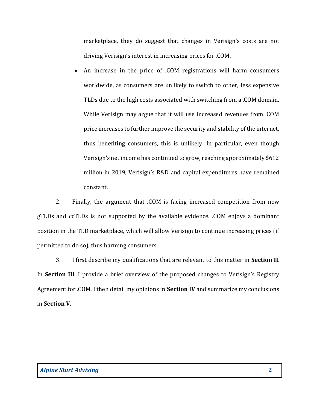marketplace, they do suggest that changes in Verisign's costs are not driving Verisign's interest in increasing prices for .COM.

 An increase in the price of .COM registrations will harm consumers worldwide, as consumers are unlikely to switch to other, less expensive TLDs due to the high costs associated with switching from a .COM domain. While Verisign may argue that it will use increased revenues from .COM price increases to further improve the security and stability of the internet, thus benefiting consumers, this is unlikely. In particular, even though Verisign's net income has continued to grow, reaching approximately \$612 million in 2019, Verisign's R&D and capital expenditures have remained constant.

2. Finally, the argument that .COM is facing increased competition from new gTLDs and ccTLDs is not supported by the available evidence. .COM enjoys a dominant position in the TLD marketplace, which will allow Verisign to continue increasing prices (if permitted to do so), thus harming consumers.

3. I first describe my qualifications that are relevant to this matter in Section II. In Section III, I provide a brief overview of the proposed changes to Verisign's Registry Agreement for .COM. I then detail my opinions in Section IV and summarize my conclusions in Section V.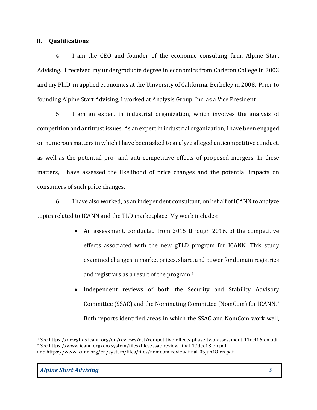### II. Qualifications

4. I am the CEO and founder of the economic consulting firm, Alpine Start Advising. I received my undergraduate degree in economics from Carleton College in 2003 and my Ph.D. in applied economics at the University of California, Berkeley in 2008. Prior to founding Alpine Start Advising, I worked at Analysis Group, Inc. as a Vice President.

5. I am an expert in industrial organization, which involves the analysis of competition and antitrust issues. As an expert in industrial organization, I have been engaged on numerous matters in which I have been asked to analyze alleged anticompetitive conduct, as well as the potential pro- and anti-competitive effects of proposed mergers. In these matters, I have assessed the likelihood of price changes and the potential impacts on consumers of such price changes.

6. I have also worked, as an independent consultant, on behalf of ICANN to analyze topics related to ICANN and the TLD marketplace. My work includes:

- An assessment, conducted from 2015 through 2016, of the competitive effects associated with the new gTLD program for ICANN. This study examined changes in market prices, share, and power for domain registries and registrars as a result of the program.<sup>1</sup>
- Independent reviews of both the Security and Stability Advisory Committee (SSAC) and the Nominating Committee (NomCom) for ICANN.<sup>2</sup> Both reports identified areas in which the SSAC and NomCom work well,

<sup>1</sup> See https://newgtlds.icann.org/en/reviews/cct/competitive-effects-phase-two-assessment-11oct16-en.pdf. <sup>2</sup> See https://www.icann.org/en/system/files/files/ssac-review-final-17dec18-en.pdf and https://www.icann.org/en/system/files/files/nomcom-review-final-05jun18-en.pdf.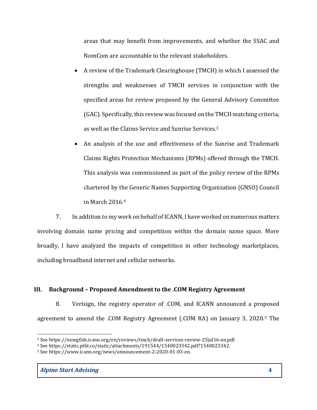areas that may benefit from improvements, and whether the SSAC and NomCom are accountable to the relevant stakeholders.

- A review of the Trademark Clearinghouse (TMCH) in which I assessed the strengths and weaknesses of TMCH services in conjunction with the specified areas for review proposed by the General Advisory Committee (GAC). Specifically, this review was focused on the TMCH matching criteria, as well as the Claims Service and Sunrise Services.<sup>3</sup>
- An analysis of the use and effectiveness of the Sunrise and Trademark Claims Rights Protection Mechanisms (RPMs) offered through the TMCH. This analysis was commissioned as part of the policy review of the RPMs chartered by the Generic Names Supporting Organization (GNSO) Council in March 2016.<sup>4</sup>

7. In addition to my work on behalf of ICANN, I have worked on numerous matters involving domain name pricing and competition within the domain name space. More broadly, I have analyzed the impacts of competition in other technology marketplaces, including broadband internet and cellular networks.

# III. Background – Proposed Amendment to the .COM Registry Agreement

8. Verisign, the registry operator of .COM, and ICANN announced a proposed agreement to amend the .COM Registry Agreement (.COM RA) on January 3, 2020.5 The

<sup>3</sup> See https://newgtlds.icann.org/en/reviews/tmch/draft-services-review-25jul16-en.pdf.

<sup>4</sup> See https://static.ptbl.co/static/attachments/191544/1540023342.pdf?1540023342.

<sup>5</sup> See https://www.icann.org/news/announcement-2-2020-01-03-en.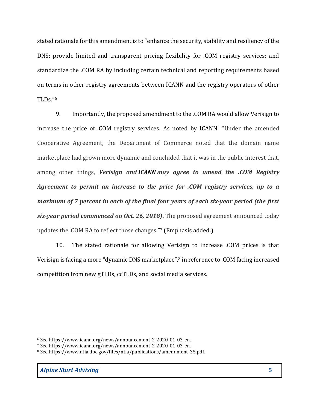stated rationale for this amendment is to "enhance the security, stability and resiliency of the DNS; provide limited and transparent pricing flexibility for .COM registry services; and standardize the .COM RA by including certain technical and reporting requirements based on terms in other registry agreements between ICANN and the registry operators of other TLDs."<sup>6</sup>

9. Importantly, the proposed amendment to the .COM RA would allow Verisign to increase the price of .COM registry services. As noted by ICANN: "Under the amended Cooperative Agreement, the Department of Commerce noted that the domain name marketplace had grown more dynamic and concluded that it was in the public interest that, among other things, Verisign and ICANN may agree to amend the .COM Registry Agreement to permit an increase to the price for .COM registry services, up to a maximum of 7 percent in each of the final four years of each six-year period (the first six-year period commenced on Oct. 26, 2018). The proposed agreement announced today updates the .COM RA to reflect those changes." <sup>7</sup> (Emphasis added.)

10. The stated rationale for allowing Verisign to increase .COM prices is that Verisign is facing a more "dynamic DNS marketplace",8 in reference to .COM facing increased competition from new gTLDs, ccTLDs, and social media services.

<sup>6</sup> See https://www.icann.org/news/announcement-2-2020-01-03-en.

<sup>7</sup> See https://www.icann.org/news/announcement-2-2020-01-03-en.

<sup>8</sup> See https://www.ntia.doc.gov/files/ntia/publications/amendment\_35.pdf.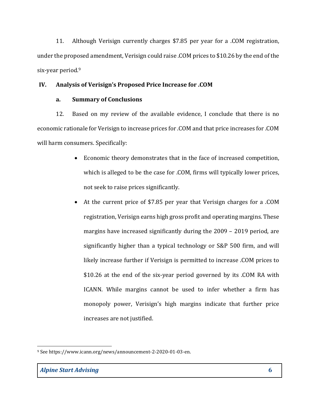11. Although Verisign currently charges \$7.85 per year for a .COM registration, under the proposed amendment, Verisign could raise .COM prices to \$10.26 by the end of the six-year period.<sup>9</sup>

# IV. Analysis of Verisign's Proposed Price Increase for .COM

## a. Summary of Conclusions

12. Based on my review of the available evidence, I conclude that there is no economic rationale for Verisign to increase prices for .COM and that price increases for .COM will harm consumers. Specifically:

- Economic theory demonstrates that in the face of increased competition, which is alleged to be the case for .COM, firms will typically lower prices, not seek to raise prices significantly.
- At the current price of \$7.85 per year that Verisign charges for a .COM registration, Verisign earns high gross profit and operating margins. These margins have increased significantly during the 2009 – 2019 period, are significantly higher than a typical technology or S&P 500 firm, and will likely increase further if Verisign is permitted to increase .COM prices to \$10.26 at the end of the six-year period governed by its .COM RA with ICANN. While margins cannot be used to infer whether a firm has monopoly power, Verisign's high margins indicate that further price increases are not justified.

<sup>9</sup> See https://www.icann.org/news/announcement-2-2020-01-03-en.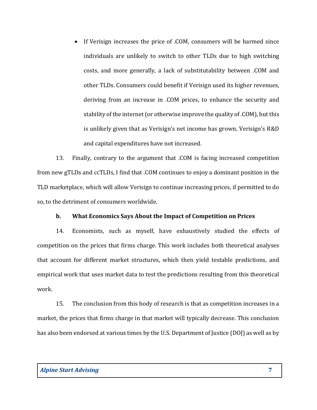• If Verisign increases the price of .COM, consumers will be harmed since individuals are unlikely to switch to other TLDs due to high switching costs, and more generally, a lack of substitutability between .COM and other TLDs. Consumers could benefit if Verisign used its higher revenues, deriving from an increase in .COM prices, to enhance the security and stability of the internet (or otherwise improve the quality of .COM), but this is unlikely given that as Verisign's net income has grown, Verisign's R&D and capital expenditures have not increased.

13. Finally, contrary to the argument that .COM is facing increased competition from new gTLDs and ccTLDs, I find that .COM continues to enjoy a dominant position in the TLD marketplace, which will allow Verisign to continue increasing prices, if permitted to do so, to the detriment of consumers worldwide.

#### b. What Economics Says About the Impact of Competition on Prices

14. Economists, such as myself, have exhaustively studied the effects of competition on the prices that firms charge. This work includes both theoretical analyses that account for different market structures, which then yield testable predictions, and empirical work that uses market data to test the predictions resulting from this theoretical work.

15. The conclusion from this body of research is that as competition increases in a market, the prices that firms charge in that market will typically decrease. This conclusion has also been endorsed at various times by the U.S. Department of Justice (DOJ) as well as by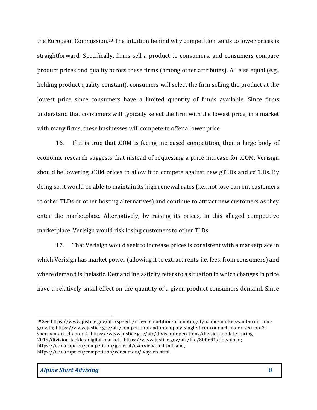the European Commission.10 The intuition behind why competition tends to lower prices is straightforward. Specifically, firms sell a product to consumers, and consumers compare product prices and quality across these firms (among other attributes). All else equal (e.g., holding product quality constant), consumers will select the firm selling the product at the lowest price since consumers have a limited quantity of funds available. Since firms understand that consumers will typically select the firm with the lowest price, in a market with many firms, these businesses will compete to offer a lower price.

16. If it is true that .COM is facing increased competition, then a large body of economic research suggests that instead of requesting a price increase for .COM, Verisign should be lowering .COM prices to allow it to compete against new gTLDs and ccTLDs. By doing so, it would be able to maintain its high renewal rates (i.e., not lose current customers to other TLDs or other hosting alternatives) and continue to attract new customers as they enter the marketplace. Alternatively, by raising its prices, in this alleged competitive marketplace, Verisign would risk losing customers to other TLDs.

17. That Verisign would seek to increase prices is consistent with a marketplace in which Verisign has market power (allowing it to extract rents, i.e. fees, from consumers) and where demand is inelastic. Demand inelasticity refers to a situation in which changes in price have a relatively small effect on the quantity of a given product consumers demand. Since

<sup>10</sup> See https://www.justice.gov/atr/speech/role-competition-promoting-dynamic-markets-and-economicgrowth; https://www.justice.gov/atr/competition-and-monopoly-single-firm-conduct-under-section-2 sherman-act-chapter-4; https://www.justice.gov/atr/division-operations/division-update-spring-2019/division-tackles-digital-markets, https://www.justice.gov/atr/file/800691/download; https://ec.europa.eu/competition/general/overview\_en.html; and, https://ec.europa.eu/competition/consumers/why\_en.html.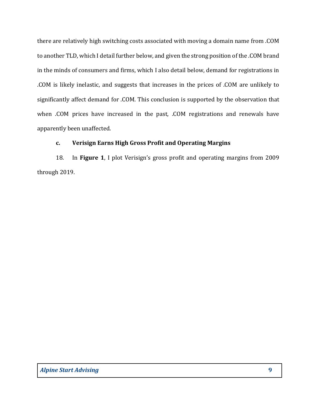there are relatively high switching costs associated with moving a domain name from .COM to another TLD, which I detail further below, and given the strong position of the .COM brand in the minds of consumers and firms, which I also detail below, demand for registrations in .COM is likely inelastic, and suggests that increases in the prices of .COM are unlikely to significantly affect demand for .COM. This conclusion is supported by the observation that when .COM prices have increased in the past, .COM registrations and renewals have apparently been unaffected.

# c. Verisign Earns High Gross Profit and Operating Margins

18. In Figure 1, I plot Verisign's gross profit and operating margins from 2009 through 2019.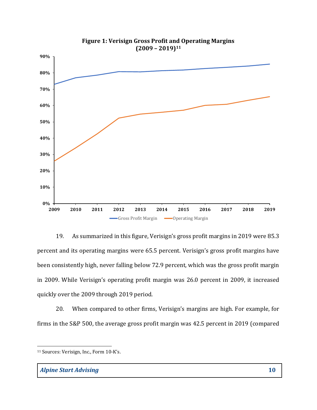



19. As summarized in this figure, Verisign's gross profit margins in 2019 were 85.3 percent and its operating margins were 65.5 percent. Verisign's gross profit margins have been consistently high, never falling below 72.9 percent, which was the gross profit margin in 2009. While Verisign's operating profit margin was 26.0 percent in 2009, it increased quickly over the 2009 through 2019 period.

20. When compared to other firms, Verisign's margins are high. For example, for firms in the S&P 500, the average gross profit margin was 42.5 percent in 2019 (compared

<sup>11</sup> Sources: Verisign, Inc., Form 10-K's.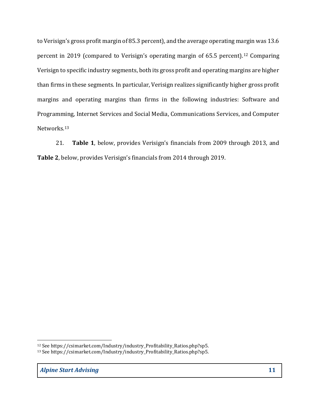to Verisign's gross profit margin of 85.3 percent), and the average operating margin was 13.6 percent in 2019 (compared to Verisign's operating margin of 65.5 percent).12 Comparing Verisign to specific industry segments, both its gross profit and operating margins are higher than firms in these segments. In particular, Verisign realizes significantly higher gross profit margins and operating margins than firms in the following industries: Software and Programming, Internet Services and Social Media, Communications Services, and Computer Networks.<sup>13</sup>

21. Table 1, below, provides Verisign's financials from 2009 through 2013, and Table 2, below, provides Verisign's financials from 2014 through 2019.

<sup>&</sup>lt;sup>12</sup> See https://csimarket.com/Industry/industry\_Profitability\_Ratios.php?sp5.

<sup>13</sup> See https://csimarket.com/Industry/industry\_Profitability\_Ratios.php?sp5.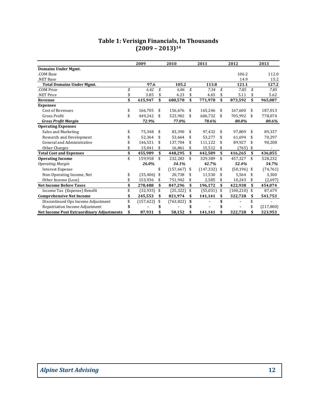| Table 1: Verisign Financials, In Thousands                                  |     |                       |                       |                      |                      |                          |
|-----------------------------------------------------------------------------|-----|-----------------------|-----------------------|----------------------|----------------------|--------------------------|
|                                                                             |     |                       |                       |                      |                      |                          |
|                                                                             |     |                       |                       |                      |                      |                          |
|                                                                             |     |                       |                       |                      |                      |                          |
|                                                                             |     |                       |                       |                      |                      |                          |
|                                                                             |     |                       |                       |                      |                      |                          |
|                                                                             |     |                       |                       |                      |                      |                          |
|                                                                             |     |                       |                       |                      |                      |                          |
|                                                                             |     |                       |                       |                      |                      |                          |
|                                                                             |     |                       |                       |                      |                      |                          |
|                                                                             |     |                       |                       |                      |                      |                          |
|                                                                             |     |                       |                       |                      |                      |                          |
|                                                                             |     |                       |                       |                      |                      |                          |
|                                                                             |     |                       |                       |                      |                      |                          |
|                                                                             |     | $(2009 - 2013)^{14}$  |                       |                      |                      |                          |
|                                                                             |     |                       |                       |                      |                      |                          |
|                                                                             |     | 2009                  | 2010                  | 2011                 | 2012                 | 2013                     |
| <b>Domains Under Mgmt.</b>                                                  |     |                       |                       |                      |                      |                          |
| .COM Base                                                                   |     |                       |                       |                      | 106.2                | 112.0                    |
| .NET Base                                                                   |     |                       |                       |                      | 14.9                 | 15.2                     |
| <b>Total Domains Under Mgmt.</b>                                            |     | 97.6                  | 105.2                 | 113.8                | 121.1                | 127.2                    |
| .COM Price                                                                  | \$  | 6.42<br>$\mathcal{S}$ | 6.86<br>$\mathcal{S}$ | 7.34<br>\$           | 7.85 $$$             | 7.85                     |
| NET Price.                                                                  | \$  | 3.85 $$$              | 4.23<br>\$            | 4.65<br>-\$          | 5.11<br>-\$          | 5.62                     |
| Revenue                                                                     | \$  | 615,947 \$            | 680,578 \$            | 771,978<br>-\$       | 873,592<br>-\$       | 965,087                  |
| <b>Expenses</b>                                                             |     |                       |                       |                      |                      |                          |
| Cost of Revenues                                                            | \$  | 166,705 \$            | 156,676 \$            | 165,246 \$           | 167,600 \$           | 187,013                  |
| Gross Profit                                                                | \$  | 449,242 \$            | 523,902 \$            | 606,732 \$           | 705,992 \$           | 778,074                  |
| <b>Gross Profit Margin</b>                                                  |     | 72.9%                 | 77.0%                 | 78.6%                | 80.8%                | 80.6%                    |
| <b>Operating Expenses</b>                                                   |     |                       |                       |                      |                      |                          |
| Sales and Marketing                                                         | \$  | 75,348 \$             | 83,390 \$             | 97,432 \$            | 97,809 \$            | 89,337                   |
| Research and Development                                                    | \$  | 52,364 \$             | 53,664 \$             | 53,277 \$            | 61,694 \$            | 70,297                   |
| General and Administrative                                                  | \$  | 146,531 \$            | 137,704 \$            | 111,122 \$           | 89,927 \$            | 90,208                   |
| Other Charges                                                               | \$  | $15,041$ \$           | 16,861 \$             | 15,512 \$            | $(765)$ \$           |                          |
| <b>Total Cost and Expenses</b>                                              | \$  | 455,989<br>-\$        | 448,295 \$            | 442,589<br>-\$       | 416,265<br>- \$      | 436,855                  |
| <b>Operating Income</b>                                                     | \$  | 159,958 \$            | 232,283<br>-\$        | \$<br>329,389        | 457,327 \$           | 528,232                  |
| <b>Operating Margin</b>                                                     |     | $26.0\%$              | 34.1%                 | 42.7%                | 52.4%                | 54.7%                    |
| <b>Interest Expense</b>                                                     |     | \$                    | $(157,667)$ \$        | $(147, 332)$ \$      | $(50, 196)$ \$       | (74, 761)                |
| Non-Operating Income, Net                                                   | \$  | $(35,406)$ \$         | 20,738 \$             | 11,530 \$            | 5,564 \$             | 3,300                    |
| Other Income (Loss)                                                         | \$  | 153,936 \$            | 751,942 \$            | 2,585 \$             | 10,243 \$            | (2,697)                  |
| <b>Net Income Before Taxes</b>                                              | \$  | 278,488 \$            | 847,296 \$            | 196,172 \$           | 422,938 \$           | 454,074                  |
| Income Tax (Expense) Benefit                                                | \$  | $(32, 935)$ \$        | $(25, 322)$ \$        | $(55,031)$ \$        | $(100, 210)$ \$      | 87,679                   |
| <b>Comprehensive Net Income</b>                                             | \$  | 245,553 \$            | 821,974 \$            | 141,141 \$           | 322,728 \$           | 541,753                  |
| Discontinued Ops Income Adjustment                                          | \$  | $(157, 622)$ \$       | $(763,822)$ \$        | \$                   | \$<br>$\blacksquare$ | $\overline{\phantom{a}}$ |
|                                                                             | \$  | \$                    | \$                    | \$<br>$\blacksquare$ | \$<br>$\blacksquare$ | (217, 800)               |
|                                                                             |     | 87,931 \$             | 58,152 \$             | 141,141<br>\$        | 322,728<br>-\$       | 323,953                  |
| Repatriation Income Adjustment<br>Net Income Post Extraordinary Adjustments | -\$ |                       |                       |                      |                      |                          |

## Table 1: Verisign Financials, In Thousands  $(2009 - 2013)^{14}$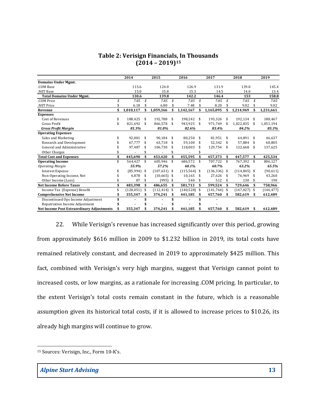|                                                                                       | Table 2: Verisign Financials, In Thousands |                      |                      |                           |                                |                   |            |
|---------------------------------------------------------------------------------------|--------------------------------------------|----------------------|----------------------|---------------------------|--------------------------------|-------------------|------------|
|                                                                                       |                                            |                      |                      |                           |                                |                   |            |
|                                                                                       |                                            |                      |                      |                           |                                |                   |            |
|                                                                                       |                                            |                      |                      |                           |                                |                   |            |
|                                                                                       |                                            |                      |                      |                           |                                |                   |            |
|                                                                                       |                                            |                      |                      |                           |                                |                   |            |
|                                                                                       |                                            |                      |                      |                           |                                |                   |            |
|                                                                                       |                                            |                      |                      |                           |                                |                   |            |
|                                                                                       |                                            |                      |                      |                           |                                |                   |            |
|                                                                                       |                                            |                      |                      |                           |                                |                   |            |
|                                                                                       |                                            |                      |                      |                           |                                |                   |            |
|                                                                                       |                                            |                      |                      |                           |                                |                   |            |
|                                                                                       |                                            |                      |                      |                           |                                |                   |            |
|                                                                                       |                                            |                      |                      |                           |                                |                   |            |
|                                                                                       |                                            |                      |                      |                           |                                |                   |            |
|                                                                                       |                                            |                      |                      |                           |                                |                   |            |
|                                                                                       |                                            |                      |                      |                           |                                |                   |            |
|                                                                                       |                                            |                      |                      |                           |                                |                   |            |
|                                                                                       |                                            |                      |                      |                           |                                |                   |            |
|                                                                                       |                                            |                      |                      |                           |                                |                   |            |
|                                                                                       |                                            |                      | $(2014 - 2019)^{15}$ |                           |                                |                   |            |
|                                                                                       |                                            |                      |                      |                           |                                |                   |            |
|                                                                                       |                                            |                      |                      |                           |                                |                   |            |
|                                                                                       | 2014                                       |                      | 2015                 | 2016                      | 2017                           | 2018              | 2019       |
| <b>Domains Under Mgmt.</b>                                                            |                                            |                      |                      |                           |                                |                   |            |
| .COM Base                                                                             |                                            | 115.6                | 124.0                | 126.9                     | 131.9                          | 139.0             | 145.4      |
| NET Base                                                                              |                                            | 15.0                 | 15.8                 | 15.3                      | 14.5                           | 14.0              | 13.4       |
| <b>Total Domains Under Mgmt.</b>                                                      |                                            | 130.6                | 139.8                | 142.2                     | 146.4                          | 153               | 158.8      |
| .COM Price                                                                            | \$                                         | 7.85<br>- \$         | 7.85 $\sqrt{s}$      | 7.85 $\sqrt{s}$           | 7.85<br>\$                     | 7.85 $\sqrt{s}$   | 7.85       |
| NET Price                                                                             | \$                                         | 6.18<br>\$           | 6.80                 | 7.48<br>-\$<br>- \$       | 8.20<br>-\$                    | 9.02<br>-\$       | 9.02       |
| Revenue                                                                               | \$<br>1,010,117                            | \$                   | 1,059,366            | \$<br>1,142,167           | \$1,165,095                    | \$1,214,969<br>\$ | 1,231,661  |
| <b>Expenses</b>                                                                       |                                            |                      |                      |                           |                                |                   |            |
| Cost of Revenues                                                                      | \$                                         | 188,425 \$           | 192,788 \$           | 198,242 \$                | 193,326<br>-\$                 | 192,134 \$        | 180,467    |
| Gross Profit                                                                          | \$                                         | 821,692 \$           | 866,578 \$           | 943,925 \$                | 971,769 \$                     | 1,022,835 \$      | 1,051,194  |
| <b>Gross Profit Margin</b>                                                            |                                            | 81.3%                | 81.8%                | 82.6%                     | 83.4%                          | 84.2%             | 85.3%      |
| <b>Operating Expenses</b>                                                             |                                            |                      |                      |                           |                                |                   |            |
| Sales and Marketing                                                                   | \$                                         | 92,001 \$            | 90,184 \$            | 80,250 \$                 | 81,951 \$                      | 64,891 \$         | 46,637     |
| Research and Development                                                              | \$                                         | 67,777 \$            | 63,718 \$            | $59,100$ \$               | 52,342 \$                      | 57,884 \$         | 60,805     |
| General and Administrative                                                            | \$                                         | 97,487 \$            | 106,730 \$           | 118,003 \$                | 129,754 \$                     | 132,668 \$        | 137,625    |
| Other Charges                                                                         | \$                                         | \$<br>$\sim$         | $\sim$               | $\mathbf{\hat{S}}$<br>-\$ | $\sim$                         |                   |            |
| <b>Total Cost and Expenses</b>                                                        | \$<br>445,690                              | - \$                 | 453,420              | 455,595 \$<br>-\$         | 457,373 \$                     | 447,577 \$        | 425,534    |
|                                                                                       | \$                                         | 564,427 \$           | 605,946 \$           | 686,572 \$                | 707,722 \$                     | 767,392 \$        | 806,127    |
| <b>Operating Income</b>                                                               |                                            |                      |                      |                           | 60.7%                          |                   |            |
| <b>Operating Margin</b>                                                               |                                            | 55.9%                | 57.2%                | 60.1%                     |                                | 63.2%             | 65.5%      |
| <b>Interest Expense</b>                                                               | \$                                         | $(85,994)$ \$        | $(107, 631)$ \$      | $(115, 564)$ \$           | $(136, 336)$ \$                | $(114, 845)$ \$   | (90,611)   |
| Non-Operating Income, Net                                                             | \$                                         | 4,878 \$             | $(10,665)$ \$        | $10,165$ \$               | 27,626 \$                      | 76,969 \$         | 43,260     |
| Other Income (Loss)                                                                   | \$                                         | $87$ \$              | $(995)$ \$           | 540 \$                    | 512 \$                         | $130*$            | 190        |
| <b>Net Income Before Taxes</b>                                                        | \$                                         | 483,398 \$           | 486,655 \$           | 581,713 \$                | 599,524 \$                     | 729,646 \$        | 758,966    |
| Income Tax (Expense) Benefit                                                          | \$                                         | $(128,051)$ \$       | $(112, 414)$ \$      | $(140,528)$ \$            | $(141,764)$ \$                 | $(147,027)$ \$    | (146, 477) |
| <b>Comprehensive Net Income</b>                                                       | \$                                         | 355,347 \$           | 374,241 \$           | 441,185 \$                | 457,760 \$                     | 582,619 \$        | 612,489    |
| Discontinued Ops Income Adjustment                                                    | \$                                         | \$<br>$\blacksquare$ | $\blacksquare$       | \$<br>$\blacksquare$      | \$<br>$\sim$                   |                   |            |
| Repatriation Income Adjustment                                                        | \$                                         | \$<br>$\blacksquare$ | $\blacksquare$       | \$<br>$\blacksquare$      | \$<br>$\overline{\phantom{a}}$ |                   |            |
| <b>Net Income Post Extraordinary Adjustments</b>                                      | - \$                                       | 355,347 \$           | 374,241 \$           | 441,185 \$                | 457,760<br>-\$                 | 582,619 \$        | 612,489    |
|                                                                                       |                                            |                      |                      |                           |                                |                   |            |
| While Verisign's revenue has increased significantly over this period, growing<br>22. |                                            |                      |                      |                           |                                |                   |            |

## Table 2: Verisign Financials, In Thousands  $(2014 - 2019)^{15}$

22. While Verisign's revenue has increased significantly over this period, growing from approximately \$616 million in 2009 to \$1.232 billion in 2019, its total costs have remained relatively constant, and decreased in 2019 to approximately \$425 million. This fact, combined with Verisign's very high margins, suggest that Verisign cannot point to increased costs, or low margins, as a rationale for increasing .COM pricing. In particular, to the extent Verisign's total costs remain constant in the future, which is a reasonable assumption given its historical total costs, if it is allowed to increase prices to \$10.26, its already high margins will continue to grow.

<sup>15</sup> Sources: Verisign, Inc., Form 10-K's.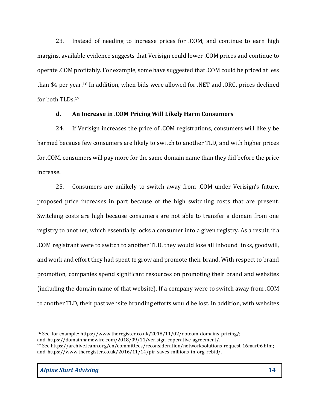23. Instead of needing to increase prices for .COM, and continue to earn high margins, available evidence suggests that Verisign could lower .COM prices and continue to operate .COM profitably. For example, some have suggested that .COM could be priced at less than \$4 per year.16 In addition, when bids were allowed for .NET and .ORG, prices declined for both TLDs.<sup>17</sup>

## d. An Increase in .COM Pricing Will Likely Harm Consumers

24. If Verisign increases the price of .COM registrations, consumers will likely be harmed because few consumers are likely to switch to another TLD, and with higher prices for .COM, consumers will pay more for the same domain name than they did before the price increase.

25. Consumers are unlikely to switch away from .COM under Verisign's future, proposed price increases in part because of the high switching costs that are present. Switching costs are high because consumers are not able to transfer a domain from one registry to another, which essentially locks a consumer into a given registry. As a result, if a .COM registrant were to switch to another TLD, they would lose all inbound links, goodwill, and work and effort they had spent to grow and promote their brand. With respect to brand promotion, companies spend significant resources on promoting their brand and websites (including the domain name of that website). If a company were to switch away from .COM to another TLD, their past website branding efforts would be lost. In addition, with websites

<sup>&</sup>lt;sup>16</sup> See, for example: https://www.theregister.co.uk/2018/11/02/dotcom\_domains\_pricing/;

and, https://domainnamewire.com/2018/09/11/verisign-coperative-agreement/.

<sup>17</sup> See https://archive.icann.org/en/committees/reconsideration/networksolutions-request-16mar06.htm; and, https://www.theregister.co.uk/2016/11/14/pir\_saves\_millions\_in\_org\_rebid/.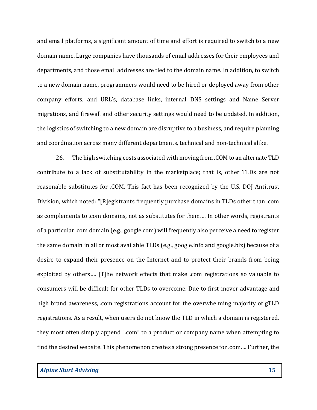and email platforms, a significant amount of time and effort is required to switch to a new domain name. Large companies have thousands of email addresses for their employees and departments, and those email addresses are tied to the domain name. In addition, to switch to a new domain name, programmers would need to be hired or deployed away from other company efforts, and URL's, database links, internal DNS settings and Name Server migrations, and firewall and other security settings would need to be updated. In addition, the logistics of switching to a new domain are disruptive to a business, and require planning and coordination across many different departments, technical and non-technical alike.

26. The high switching costs associated with moving from .COM to an alternate TLD contribute to a lack of substitutability in the marketplace; that is, other TLDs are not reasonable substitutes for .COM. This fact has been recognized by the U.S. DOJ Antitrust Division, which noted: "[R]egistrants frequently purchase domains in TLDs other than .com as complements to .com domains, not as substitutes for them…. In other words, registrants of a particular .com domain (e.g., google.com) will frequently also perceive a need to register the same domain in all or most available TLDs (e.g., google.info and google.biz) because of a desire to expand their presence on the Internet and to protect their brands from being exploited by others…. [T]he network effects that make .com registrations so valuable to consumers will be difficult for other TLDs to overcome. Due to first-mover advantage and high brand awareness, .com registrations account for the overwhelming majority of gTLD registrations. As a result, when users do not know the TLD in which a domain is registered, they most often simply append ".com" to a product or company name when attempting to find the desired website. This phenomenon creates a strong presence for .com…. Further, the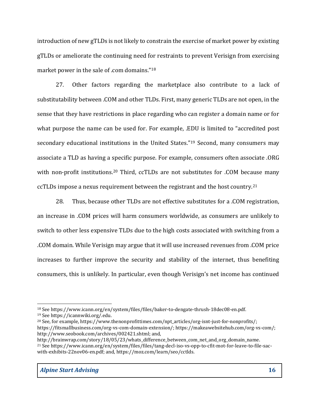introduction of new gTLDs is not likely to constrain the exercise of market power by existing gTLDs or ameliorate the continuing need for restraints to prevent Verisign from exercising market power in the sale of .com domains."<sup>18</sup>

27. Other factors regarding the marketplace also contribute to a lack of substitutability between .COM and other TLDs. First, many generic TLDs are not open, in the sense that they have restrictions in place regarding who can register a domain name or for what purpose the name can be used for. For example, .EDU is limited to "accredited post secondary educational institutions in the United States."19 Second, many consumers may associate a TLD as having a specific purpose. For example, consumers often associate .ORG with non-profit institutions.<sup>20</sup> Third, ccTLDs are not substitutes for .COM because many ccTLDs impose a nexus requirement between the registrant and the host country.<sup>21</sup>

28. Thus, because other TLDs are not effective substitutes for a .COM registration, an increase in .COM prices will harm consumers worldwide, as consumers are unlikely to switch to other less expensive TLDs due to the high costs associated with switching from a .COM domain. While Verisign may argue that it will use increased revenues from .COM price increases to further improve the security and stability of the internet, thus benefiting consumers, this is unlikely. In particular, even though Verisign's net income has continued

<sup>18</sup> See https://www.icann.org/en/system/files/files/baker-to-dengate-thrush-18dec08-en.pdf.

<sup>19</sup> See https://icannwiki.org/.edu.

<sup>&</sup>lt;sup>20</sup> See, for example, https://www.thenonprofittimes.com/npt\_articles/org-isnt-just-for-nonprofits/; https://fitsmallbusiness.com/org-vs-com-domain-extension/; https://makeawebsitehub.com/org-vs-com/; http://www.seobook.com/archives/002421.shtml; and,

http://brainwrap.com/story/18/05/23/whats\_difference\_between\_com\_net\_and\_org\_domain\_name. 21 See https://www.icann.org/en/system/files/files/tang-decl-iso-vs-opp-to-cfit-mot-for-leave-to-file-sacwith-exhibits-22nov06-en.pdf; and, https://moz.com/learn/seo/cctlds.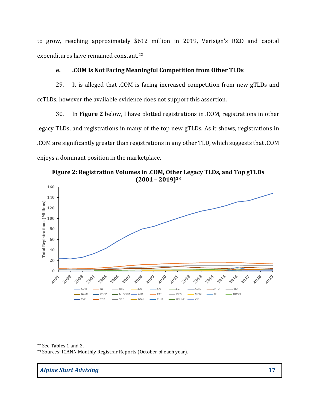to grow, reaching approximately \$612 million in 2019, Verisign's R&D and capital expenditures have remained constant.<sup>22</sup>

## e. .COM Is Not Facing Meaningful Competition from Other TLDs

29. It is alleged that .COM is facing increased competition from new gTLDs and ccTLDs, however the available evidence does not support this assertion.

30. In Figure 2 below, I have plotted registrations in .COM, registrations in other legacy TLDs, and registrations in many of the top new gTLDs. As it shows, registrations in .COM are significantly greater than registrations in any other TLD, which suggests that .COM enjoys a dominant position in the marketplace.

Figure 2: Registration Volumes in .COM, Other Legacy TLDs, and Top gTLDs  $(2001 - 2019)^{23}$ 



<sup>23</sup> Sources: ICANN Monthly Registrar Reports (October of each year).

<sup>22</sup> See Tables 1 and 2.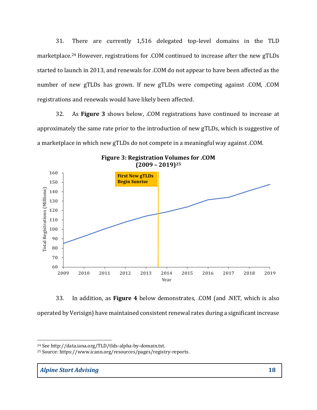31. There are currently 1,516 delegated top-level domains in the TLD marketplace.24 However, registrations for .COM continued to increase after the new gTLDs started to launch in 2013, and renewals for .COM do not appear to have been affected as the number of new gTLDs has grown. If new gTLDs were competing against .COM, .COM registrations and renewals would have likely been affected. entry 1,516 delegated top-level domains in the 1LD<br>trations for .COM continued to increase after the new gTLDs<br>renewals for .COM do not appear to have been affected as the<br>grown. If new gTLDs were competing against .COM, .

32. As Figure 3 shows below, .COM registrations have continued to increase at approximately the same rate prior to the introduction of new gTLDs, which is suggestive of a marketplace in which new gTLDs do not compete in a meaningful way against .COM.



Figure 3: Registration Volumes for .COM  $(2009 - 2019)^{25}$ 

33. In addition, as Figure 4 below demonstrates, .COM (and .NET, which is also operated by Verisign) have maintained consistent renewal rates during a significant increase

<sup>24</sup> See http://data.iana.org/TLD/tlds-alpha-by-domain.txt.

<sup>25</sup> Source: https://www.icann.org/resources/pages/registry-reports.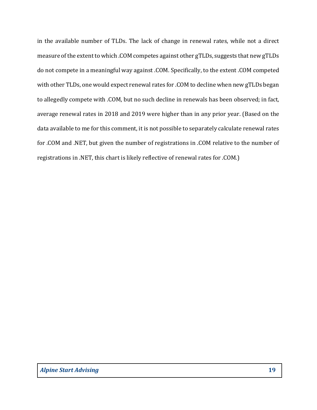in the available number of TLDs. The lack of change in renewal rates, while not a direct measure of the extent to which .COM competes against other gTLDs, suggests that new gTLDs do not compete in a meaningful way against .COM. Specifically, to the extent .COM competed with other TLDs, one would expect renewal rates for .COM to decline when new gTLDs began to allegedly compete with .COM, but no such decline in renewals has been observed; in fact, average renewal rates in 2018 and 2019 were higher than in any prior year. (Based on the data available to me for this comment, it is not possible to separately calculate renewal rates for .COM and .NET, but given the number of registrations in .COM relative to the number of registrations in .NET, this chart is likely reflective of renewal rates for .COM.)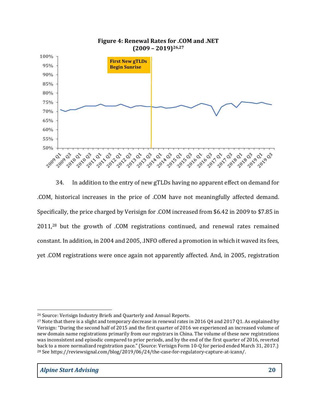

34. In addition to the entry of new gTLDs having no apparent effect on demand for .COM, historical increases in the price of .COM have not meaningfully affected demand. Specifically, the price charged by Verisign for .COM increased from \$6.42 in 2009 to \$7.85 in 2011,28 but the growth of .COM registrations continued, and renewal rates remained constant. In addition, in 2004 and 2005, .INFO offered a promotion in which it waved its fees, yet .COM registrations were once again not apparently affected. And, in 2005, registration

<sup>26</sup> Source: Verisign Industry Briefs and Quarterly and Annual Reports.

<sup>&</sup>lt;sup>27</sup> Note that there is a slight and temporary decrease in renewal rates in 2016 Q4 and 2017 Q1. As explained by Verisign: "During the second half of 2015 and the first quarter of 2016 we experienced an increased volume of new domain name registrations primarily from our registrars in China. The volume of these new registrations was inconsistent and episodic compared to prior periods, and by the end of the first quarter of 2016, reverted back to a more normalized registration pace." (Source: Verisign Form 10-Q for period ended March 31, 2017.) <sup>28</sup> See https://reviewsignal.com/blog/2019/06/24/the-case-for-regulatory-capture-at-icann/.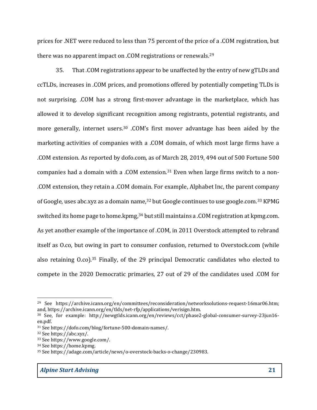prices for .NET were reduced to less than 75 percent of the price of a .COM registration, but there was no apparent impact on .COM registrations or renewals.<sup>29</sup>

35. That .COM registrations appear to be unaffected by the entry of new gTLDs and ccTLDs, increases in .COM prices, and promotions offered by potentially competing TLDs is not surprising. .COM has a strong first-mover advantage in the marketplace, which has allowed it to develop significant recognition among registrants, potential registrants, and more generally, internet users.30 .COM's first mover advantage has been aided by the marketing activities of companies with a .COM domain, of which most large firms have a .COM extension. As reported by dofo.com, as of March 28, 2019, 494 out of 500 Fortune 500 companies had a domain with a .COM extension.<sup>31</sup> Even when large firms switch to a non-.COM extension, they retain a .COM domain. For example, Alphabet Inc, the parent company of Google, uses abc.xyz as a domain name,32 but Google continues to use google.com.33 KPMG switched its home page to home.kpmg,<sup>34</sup> but still maintains a .COM registration at kpmg.com. As yet another example of the importance of .COM, in 2011 Overstock attempted to rebrand itself as O.co, but owing in part to consumer confusion, returned to Overstock.com (while also retaining O.co).35 Finally, of the 29 principal Democratic candidates who elected to compete in the 2020 Democratic primaries, 27 out of 29 of the candidates used .COM for

<sup>&</sup>lt;sup>29</sup> See https://archive.icann.org/en/committees/reconsideration/networksolutions-request-16mar06.htm; and, https://archive.icann.org/en/tlds/net-rfp/applications/verisign.htm.

<sup>30</sup> See, for example: http://newgtlds.icann.org/en/reviews/cct/phase2-global-consumer-survey-23jun16 en.pdf.

<sup>31</sup> See https://dofo.com/blog/fortune-500-domain-names/.

<sup>32</sup> See https://abc.xyz/.

<sup>33</sup> See https://www.google.com/.

<sup>34</sup> See https://home.kpmg.

<sup>35</sup> See https://adage.com/article/news/o-overstock-backs-o-change/230983.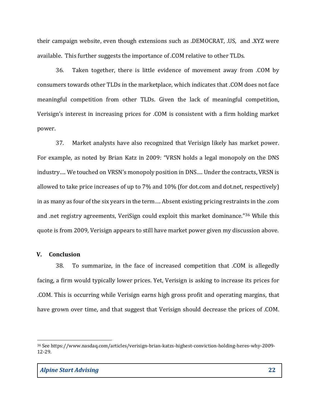their campaign website, even though extensions such as .DEMOCRAT, .US, and .XYZ were available. This further suggests the importance of .COM relative to other TLDs.

36. Taken together, there is little evidence of movement away from .COM by consumers towards other TLDs in the marketplace, which indicates that .COM does not face meaningful competition from other TLDs. Given the lack of meaningful competition, Verisign's interest in increasing prices for .COM is consistent with a firm holding market power.

37. Market analysts have also recognized that Verisign likely has market power. For example, as noted by Brian Katz in 2009: "VRSN holds a legal monopoly on the DNS industry…. We touched on VRSN's monopoly position in DNS…. Under the contracts, VRSN is allowed to take price increases of up to 7% and 10% (for dot.com and dot.net, respectively) in as many as four of the six years in the term…. Absent existing pricing restraints in the .com and .net registry agreements, VeriSign could exploit this market dominance."36 While this quote is from 2009, Verisign appears to still have market power given my discussion above.

### V. Conclusion

38. To summarize, in the face of increased competition that .COM is allegedly facing, a firm would typically lower prices. Yet, Verisign is asking to increase its prices for .COM. This is occurring while Verisign earns high gross profit and operating margins, that have grown over time, and that suggest that Verisign should decrease the prices of .COM.

<sup>36</sup> See https://www.nasdaq.com/articles/verisign-brian-katzs-highest-conviction-holding-heres-why-2009- 12-29.